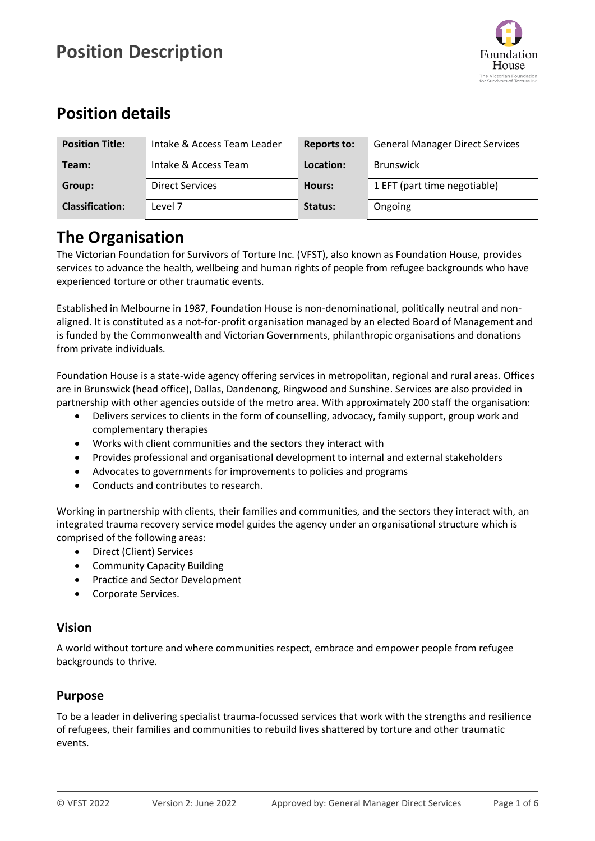

## **Position details**

| <b>Position Title:</b> | Intake & Access Team Leader | <b>Reports to:</b> | <b>General Manager Direct Services</b> |
|------------------------|-----------------------------|--------------------|----------------------------------------|
| Team:                  | Intake & Access Team        | Location:          | <b>Brunswick</b>                       |
| Group:                 | <b>Direct Services</b>      | Hours:             | 1 EFT (part time negotiable)           |
| <b>Classification:</b> | Level 7                     | Status:            | Ongoing                                |

## **The Organisation**

The Victorian Foundation for Survivors of Torture Inc. (VFST), also known as Foundation House, provides services to advance the health, wellbeing and human rights of people from refugee backgrounds who have experienced torture or other traumatic events.

Established in Melbourne in 1987, Foundation House is non-denominational, politically neutral and nonaligned. It is constituted as a not-for-profit organisation managed by an elected Board of Management and is funded by the Commonwealth and Victorian Governments, philanthropic organisations and donations from private individuals.

Foundation House is a state-wide agency offering services in metropolitan, regional and rural areas. Offices are in Brunswick (head office), Dallas, Dandenong, Ringwood and Sunshine. Services are also provided in partnership with other agencies outside of the metro area. With approximately 200 staff the organisation:

- Delivers services to clients in the form of counselling, advocacy, family support, group work and complementary therapies
- Works with client communities and the sectors they interact with
- Provides professional and organisational development to internal and external stakeholders
- Advocates to governments for improvements to policies and programs
- Conducts and contributes to research.

Working in partnership with clients, their families and communities, and the sectors they interact with, an integrated trauma recovery service model guides the agency under an organisational structure which is comprised of the following areas:

- Direct (Client) Services
- Community Capacity Building
- Practice and Sector Development
- Corporate Services.

#### **Vision**

A world without torture and where communities respect, embrace and empower people from refugee backgrounds to thrive.

### **Purpose**

To be a leader in delivering specialist trauma-focussed services that work with the strengths and resilience of refugees, their families and communities to rebuild lives shattered by torture and other traumatic events.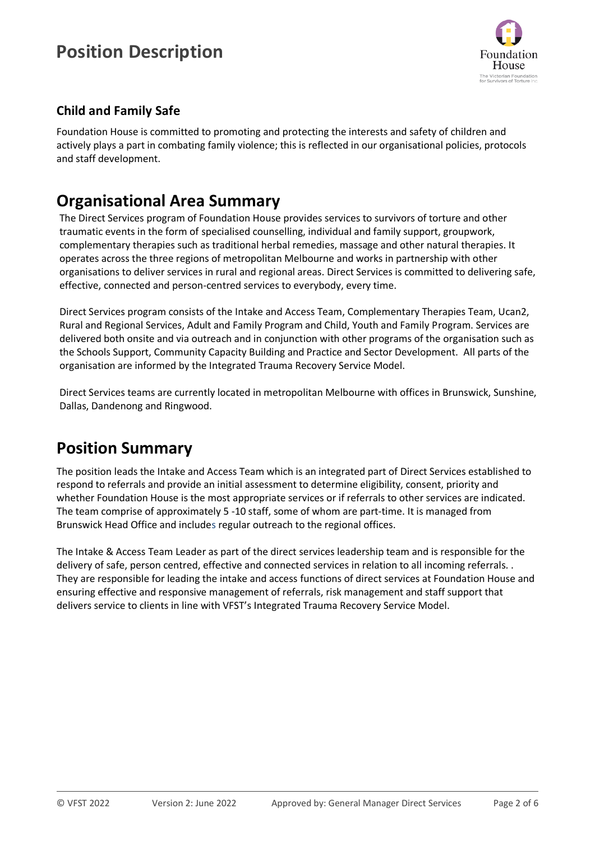

### **Child and Family Safe**

Foundation House is committed to promoting and protecting the interests and safety of children and actively plays a part in combating family violence; this is reflected in our organisational policies, protocols and staff development.

## **Organisational Area Summary**

The Direct Services program of Foundation House provides services to survivors of torture and other traumatic events in the form of specialised counselling, individual and family support, groupwork, complementary therapies such as traditional herbal remedies, massage and other natural therapies. It operates across the three regions of metropolitan Melbourne and works in partnership with other organisations to deliver services in rural and regional areas. Direct Services is committed to delivering safe, effective, connected and person-centred services to everybody, every time.

Direct Services program consists of the Intake and Access Team, Complementary Therapies Team, Ucan2, Rural and Regional Services, Adult and Family Program and Child, Youth and Family Program. Services are delivered both onsite and via outreach and in conjunction with other programs of the organisation such as the Schools Support, Community Capacity Building and Practice and Sector Development. All parts of the organisation are informed by the Integrated Trauma Recovery Service Model.

Direct Services teams are currently located in metropolitan Melbourne with offices in Brunswick, Sunshine, Dallas, Dandenong and Ringwood.

## **Position Summary**

The position leads the Intake and Access Team which is an integrated part of Direct Services established to respond to referrals and provide an initial assessment to determine eligibility, consent, priority and whether Foundation House is the most appropriate services or if referrals to other services are indicated. The team comprise of approximately 5 -10 staff, some of whom are part-time. It is managed from Brunswick Head Office and includes regular outreach to the regional offices.

The Intake & Access Team Leader as part of the direct services leadership team and is responsible for the delivery of safe, person centred, effective and connected services in relation to all incoming referrals. . They are responsible for leading the intake and access functions of direct services at Foundation House and ensuring effective and responsive management of referrals, risk management and staff support that delivers service to clients in line with VFST's Integrated Trauma Recovery Service Model.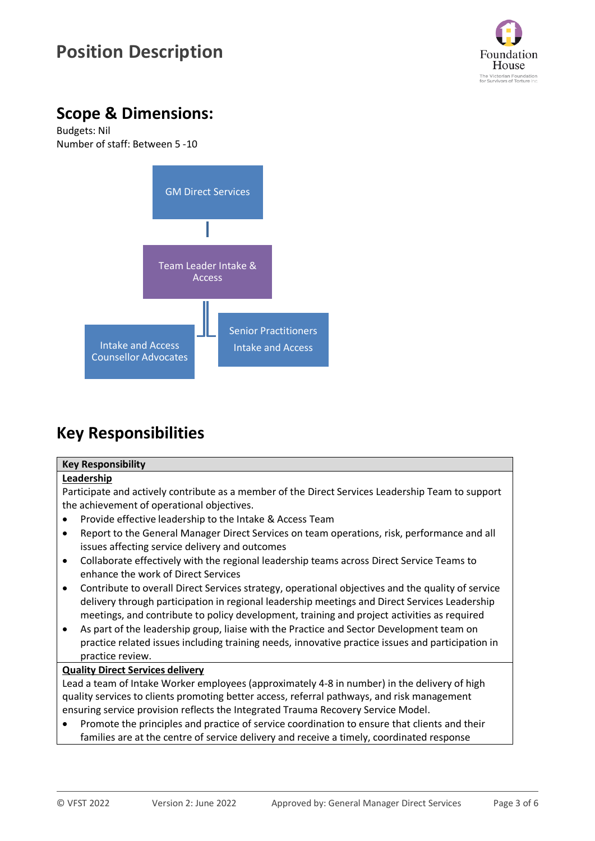

## **Scope & Dimensions:**

Budgets: Nil Number of staff: Between 5 -10



## **Key Responsibilities**

#### **Key Responsibility**

#### **Leadership**

Participate and actively contribute as a member of the Direct Services Leadership Team to support the achievement of operational objectives.

- Provide effective leadership to the Intake & Access Team
- Report to the General Manager Direct Services on team operations, risk, performance and all issues affecting service delivery and outcomes
- Collaborate effectively with the regional leadership teams across Direct Service Teams to enhance the work of Direct Services
- Contribute to overall Direct Services strategy, operational objectives and the quality of service delivery through participation in regional leadership meetings and Direct Services Leadership meetings, and contribute to policy development, training and project activities as required
- As part of the leadership group, liaise with the Practice and Sector Development team on practice related issues including training needs, innovative practice issues and participation in practice review.

#### **Quality Direct Services delivery**

Lead a team of Intake Worker employees (approximately 4-8 in number) in the delivery of high quality services to clients promoting better access, referral pathways, and risk management ensuring service provision reflects the Integrated Trauma Recovery Service Model.

• Promote the principles and practice of service coordination to ensure that clients and their families are at the centre of service delivery and receive a timely, coordinated response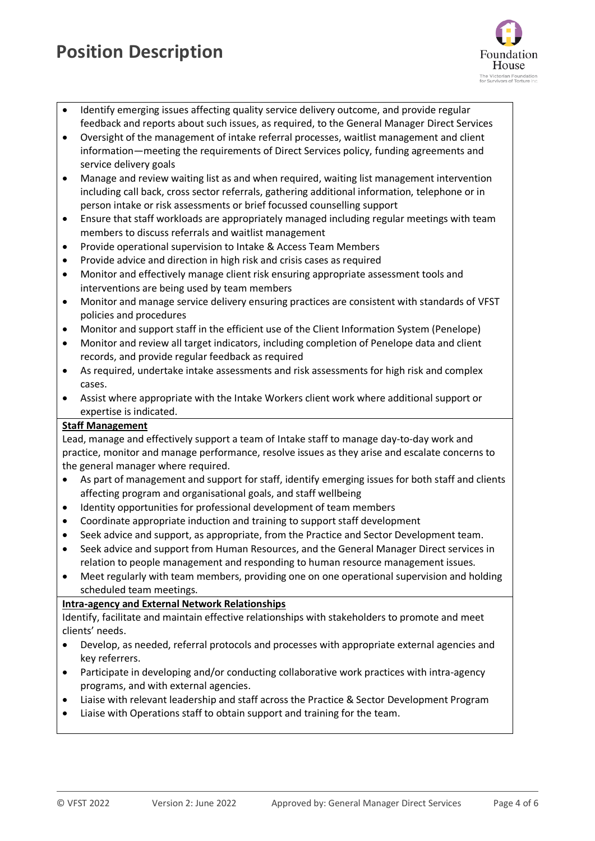

- Identify emerging issues affecting quality service delivery outcome, and provide regular feedback and reports about such issues, as required, to the General Manager Direct Services
- Oversight of the management of intake referral processes, waitlist management and client information—meeting the requirements of Direct Services policy, funding agreements and service delivery goals
- Manage and review waiting list as and when required, waiting list management intervention including call back, cross sector referrals, gathering additional information, telephone or in person intake or risk assessments or brief focussed counselling support
- Ensure that staff workloads are appropriately managed including regular meetings with team members to discuss referrals and waitlist management
- Provide operational supervision to Intake & Access Team Members
- Provide advice and direction in high risk and crisis cases as required
- Monitor and effectively manage client risk ensuring appropriate assessment tools and interventions are being used by team members
- Monitor and manage service delivery ensuring practices are consistent with standards of VFST policies and procedures
- Monitor and support staff in the efficient use of the Client Information System (Penelope)
- Monitor and review all target indicators, including completion of Penelope data and client records, and provide regular feedback as required
- As required, undertake intake assessments and risk assessments for high risk and complex cases.
- Assist where appropriate with the Intake Workers client work where additional support or expertise is indicated.

#### **Staff Management**

Lead, manage and effectively support a team of Intake staff to manage day-to-day work and practice, monitor and manage performance, resolve issues as they arise and escalate concerns to the general manager where required.

- As part of management and support for staff, identify emerging issues for both staff and clients affecting program and organisational goals, and staff wellbeing
- Identity opportunities for professional development of team members
- Coordinate appropriate induction and training to support staff development
- Seek advice and support, as appropriate, from the Practice and Sector Development team.
- Seek advice and support from Human Resources, and the General Manager Direct services in relation to people management and responding to human resource management issues.
- Meet regularly with team members, providing one on one operational supervision and holding scheduled team meetings.

#### **Intra-agency and External Network Relationships**

Identify, facilitate and maintain effective relationships with stakeholders to promote and meet clients' needs.

- Develop, as needed, referral protocols and processes with appropriate external agencies and key referrers.
- Participate in developing and/or conducting collaborative work practices with intra-agency programs, and with external agencies.
- Liaise with relevant leadership and staff across the Practice & Sector Development Program
- Liaise with Operations staff to obtain support and training for the team.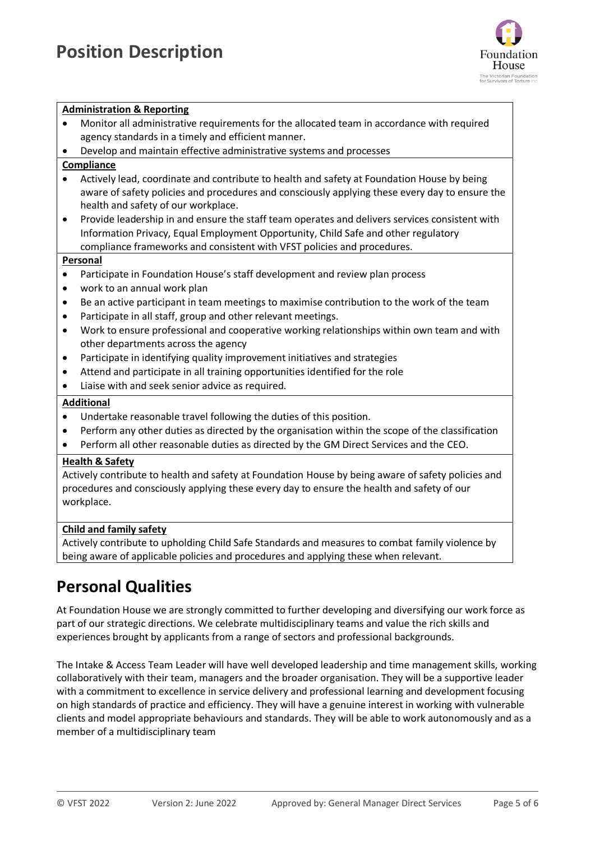

#### **Administration & Reporting**

- Monitor all administrative requirements for the allocated team in accordance with required agency standards in a timely and efficient manner.
- Develop and maintain effective administrative systems and processes

#### **Compliance**

- Actively lead, coordinate and contribute to health and safety at Foundation House by being aware of safety policies and procedures and consciously applying these every day to ensure the health and safety of our workplace.
- Provide leadership in and ensure the staff team operates and delivers services consistent with Information Privacy, Equal Employment Opportunity, Child Safe and other regulatory compliance frameworks and consistent with VFST policies and procedures.

#### **Personal**

- Participate in Foundation House's staff development and review plan process
- work to an annual work plan
- Be an active participant in team meetings to maximise contribution to the work of the team
- Participate in all staff, group and other relevant meetings.
- Work to ensure professional and cooperative working relationships within own team and with other departments across the agency
- Participate in identifying quality improvement initiatives and strategies
- Attend and participate in all training opportunities identified for the role
- Liaise with and seek senior advice as required.

#### **Additional**

- Undertake reasonable travel following the duties of this position.
- Perform any other duties as directed by the organisation within the scope of the classification
- Perform all other reasonable duties as directed by the GM Direct Services and the CEO.

#### **Health & Safety**

Actively contribute to health and safety at Foundation House by being aware of safety policies and procedures and consciously applying these every day to ensure the health and safety of our workplace.

#### **Child and family safety**

Actively contribute to upholding Child Safe Standards and measures to combat family violence by being aware of applicable policies and procedures and applying these when relevant.

## **Personal Qualities**

At Foundation House we are strongly committed to further developing and diversifying our work force as part of our strategic directions. We celebrate multidisciplinary teams and value the rich skills and experiences brought by applicants from a range of sectors and professional backgrounds.

The Intake & Access Team Leader will have well developed leadership and time management skills, working collaboratively with their team, managers and the broader organisation. They will be a supportive leader with a commitment to excellence in service delivery and professional learning and development focusing on high standards of practice and efficiency. They will have a genuine interest in working with vulnerable clients and model appropriate behaviours and standards. They will be able to work autonomously and as a member of a multidisciplinary team